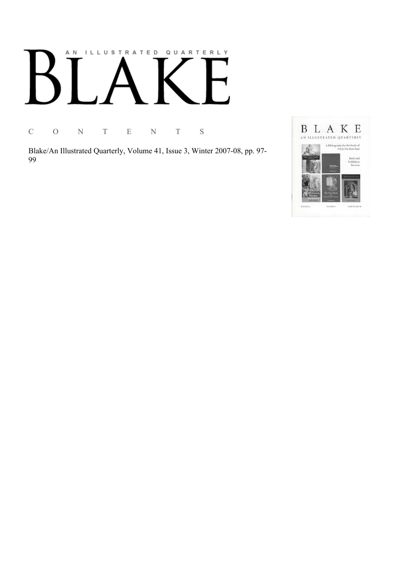# AN ILLUSTRATED QUARTERLY

C O N T E N T S

Blake/An Illustrated Quarterly, Volume 41, Issue 3, Winter 2007-08, pp. 97-99

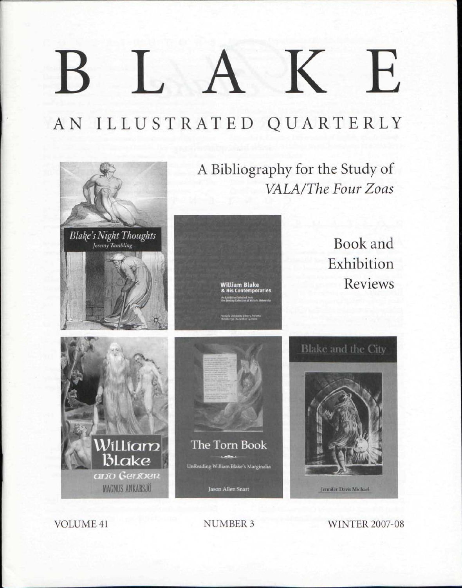## K  $\mathbf{E}$ I.

AN ILLUSTRATED QUARTERLY



VOLUME 41 NUMBER 3 WINTER 2007-08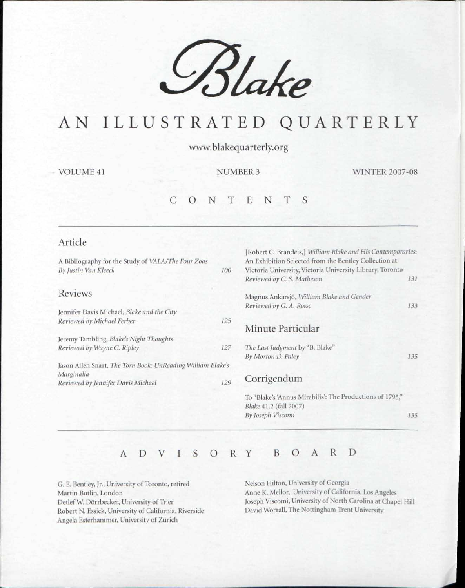

### AN ILLUSTRATED QUARTERLY

vwvw.blakequarterly.org

VOLUME 41 NUMBER 3 WINTER 2007-08

#### CONTENT S

| 100                                                         | [Robert C. Brandeis,] William Blake and His Contemporaries:<br>An Exhibition Selected from the Bentley Collection at<br>Victoria University, Victoria University Library, Toronto<br>Reviewed by C. S. Matheson | 131 |
|-------------------------------------------------------------|-----------------------------------------------------------------------------------------------------------------------------------------------------------------------------------------------------------------|-----|
|                                                             | Magnus Ankarsjö, William Blake and Gender<br>Reviewed by G. A. Rosso                                                                                                                                            | 133 |
| 125                                                         | Minute Particular                                                                                                                                                                                               |     |
|                                                             |                                                                                                                                                                                                                 |     |
| 127                                                         | The Last Judgment by "B. Blake"<br>By Morton D. Paley                                                                                                                                                           | 135 |
| Jason Allen Snart, The Torn Book: UnReading William Blake's |                                                                                                                                                                                                                 |     |
| 129                                                         | Corrigendum                                                                                                                                                                                                     |     |
|                                                             | To "Blake's 'Annus Mirabilis': The Productions of 1795,"<br>Blake 41.2 (fall 2007)                                                                                                                              |     |
|                                                             | By Joseph Viscomi                                                                                                                                                                                               | 135 |
|                                                             |                                                                                                                                                                                                                 |     |

#### ADVISOR Y BOAR D

G. E. Bentley, Jr., University of Toronto, retired Martin Butlin, London Detlef W. Dörrbecker, University of Trier Robert N. Essick, University of California, Riverside Angela Esterhammer, University of Zurich

Nelson Hilton, University of Georgia Anne K. Mellor, University of California, Los Angeles Joseph Viscomi, University of North Carolina at Chapel Hill David Worrall, The Nottingham Trent Universitv